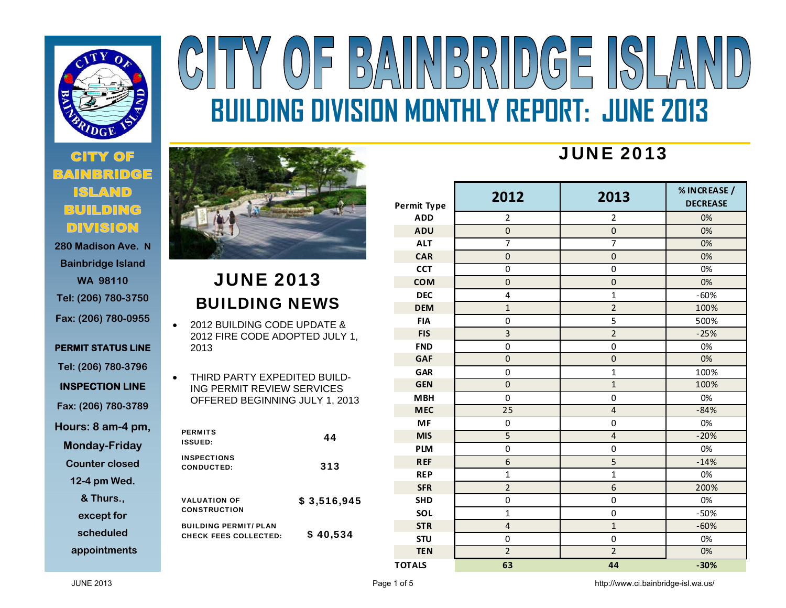

# **280 Madison Ave. N**

**Bainbridge Island WA 98110 Tel: (206) 780-3750 Fax: (206) 780-0955** 

**PERMIT STATUS LINE Tel: (206) 780-3796 INSPECTION LINE** 

**Fax: (206) 780-3789** 

**Hours: 8 am-4 pm,** 

**Monday-Friday** 

**Counter closed** 

**12-4 pm Wed.** 

**& Thurs.,** 

**except for** 

**scheduled** 

**appointments**

# BAINBRIDGE ISLA  $(0)$ **BUILDING DIVISION MONTHLY REPORT: JUNE 2013**



### JUNE 2013 BUILDING NEWS

- $\bullet$  2012 BUILDING CODE UPDATE & 2012 FIRE CODE ADOPTED JULY 1, 2013
- $\bullet$  THIRD PARTY EXPEDITED BUILD-ING PERMIT REVIEW SERVICES OFFERED BEGINNING JULY 1, 2013

| <b>PERMITS</b><br><b>ISSUED:</b>                             | 44          |
|--------------------------------------------------------------|-------------|
| <b>INSPECTIONS</b><br>CONDUCTED:                             | 313         |
| <b>VALUATION OF</b><br><b>CONSTRUCTION</b>                   | \$3,516,945 |
| <b>BUILDING PERMIT/ PLAN</b><br><b>CHECK FEES COLLECTED:</b> | \$40,534    |

## JUNE 2013

| <b>Permit Type</b> | 2012                    | 2013                    | % IN CREASE /<br><b>DECREASE</b> |
|--------------------|-------------------------|-------------------------|----------------------------------|
| <b>ADD</b>         | $\overline{2}$          | $\overline{c}$          | 0%                               |
| <b>ADU</b>         | $\mathbf 0$             | $\mathbf 0$             | 0%                               |
| <b>ALT</b>         | $\overline{7}$          | 7                       | 0%                               |
| <b>CAR</b>         | $\mathbf 0$             | $\mathbf 0$             | 0%                               |
| <b>CCT</b>         | 0                       | $\mathbf 0$             | 0%                               |
| <b>COM</b>         | $\mathbf 0$             | $\boldsymbol{0}$        | 0%                               |
| <b>DEC</b>         | 4                       | $\mathbf 1$             | $-60%$                           |
| <b>DEM</b>         | $\mathbf 1$             | $\overline{c}$          | 100%                             |
| <b>FIA</b>         | $\overline{0}$          | 5                       | 500%                             |
| <b>FIS</b>         | $\overline{\mathbf{3}}$ | $\overline{c}$          | $-25%$                           |
| <b>FND</b>         | $\mathbf 0$             | $\mathbf 0$             | 0%                               |
| <b>GAF</b>         | $\mathbf 0$             | $\boldsymbol{0}$        | 0%                               |
| <b>GAR</b>         | $\mathbf 0$             | $\mathbf 1$             | 100%                             |
| <b>GEN</b>         | $\mathbf 0$             | $\overline{1}$          | 100%                             |
| <b>MBH</b>         | $\mathbf 0$             | $\pmb{0}$               | 0%                               |
| <b>MEC</b>         | 25                      | $\overline{\mathbf{r}}$ | $-84%$                           |
| <b>MF</b>          | $\boldsymbol{0}$        | $\mathbf 0$             | 0%                               |
| <b>MIS</b>         | 5                       | $\overline{\mathbf{4}}$ | $-20%$                           |
| <b>PLM</b>         | $\boldsymbol{0}$        | 0                       | 0%                               |
| <b>REF</b>         | 6                       | 5                       | $-14%$                           |
| <b>REP</b>         | $\overline{1}$          | $\overline{1}$          | 0%                               |
| <b>SFR</b>         | $\overline{2}$          | 6                       | 200%                             |
| <b>SHD</b>         | 0                       | $\pmb{0}$               | 0%                               |
| SOL                | $\mathbf 1$             | 0                       | $-50%$                           |
| <b>STR</b>         | $\overline{\mathbf{4}}$ | $\overline{1}$          | $-60%$                           |
| <b>STU</b>         | $\mathbf 0$             | $\mathbf 0$             | 0%                               |
| <b>TEN</b>         | $\overline{c}$          | $\overline{2}$          | 0%                               |
| <b>TOTALS</b>      | 63                      | 44                      | $-30%$                           |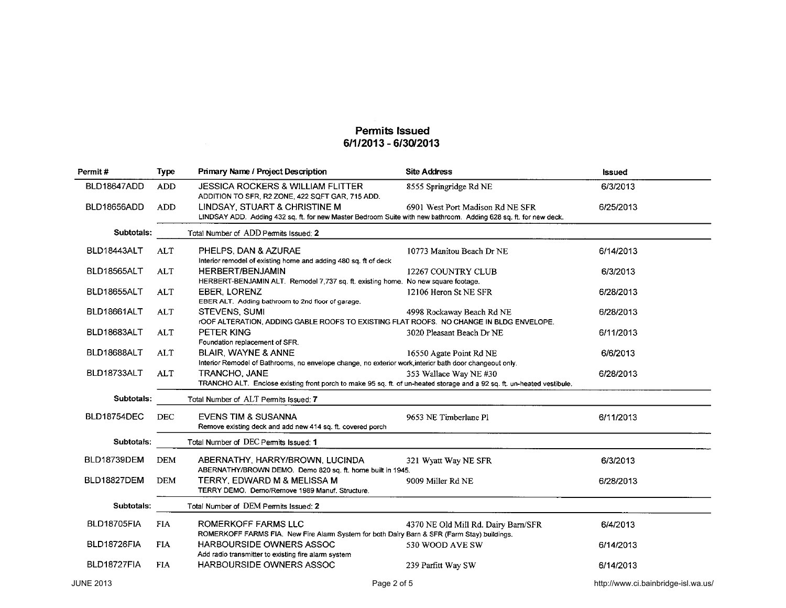| Permit#          | <b>Type</b> | Primary Name / Project Description                                                                                                                | <b>Site Address</b>                 | Issued                              |
|------------------|-------------|---------------------------------------------------------------------------------------------------------------------------------------------------|-------------------------------------|-------------------------------------|
| BLD18647ADD      | <b>ADD</b>  | <b>JESSICA ROCKERS &amp; WILLIAM FLITTER</b><br>ADDITION TO SFR, R2 ZONE, 422 SQFT GAR, 715 ADD.                                                  | 8555 Springridge Rd NE              | 6/3/2013                            |
| BLD18656ADD      | <b>ADD</b>  | LINDSAY, STUART & CHRISTINE M<br>LINDSAY ADD. Adding 432 sq. ft. for new Master Bedroom Suite with new bathroom. Adding 628 sq. ft. for new deck. | 6901 West Port Madison Rd NE SFR    | 6/25/2013                           |
| Subtotals:       |             | Total Number of ADD Permits Issued: 2                                                                                                             |                                     |                                     |
| BLD18443ALT      | ALT         | PHELPS, DAN & AZURAE<br>Interior remodel of existing home and adding 480 sq. ft of deck                                                           | 10773 Manitou Beach Dr NE           | 6/14/2013                           |
| BLD18565ALT      | <b>ALT</b>  | <b>HERBERT/BENJAMIN</b><br>HERBERT-BENJAMIN ALT. Remodel 7,737 sq. ft. existing home. No new square footage.                                      | 12267 COUNTRY CLUB                  | 6/3/2013                            |
| BLD18655ALT      | <b>ALT</b>  | <b>EBER, LORENZ</b><br>EBER ALT. Adding bathroom to 2nd floor of garage.                                                                          | 12106 Heron St NE SFR               | 6/28/2013                           |
| BLD18661ALT      | <b>ALT</b>  | <b>STEVENS, SUMI</b><br>rOOF ALTERATION, ADDING GABLE ROOFS TO EXISTING FLAT ROOFS. NO CHANGE IN BLDG ENVELOPE.                                   | 4998 Rockaway Beach Rd NE           | 6/28/2013                           |
| BLD18683ALT      | <b>ALT</b>  | PETER KING<br>Foundation replacement of SFR.                                                                                                      | 3020 Pleasant Beach Dr NE           | 6/11/2013                           |
| BLD18688ALT      | ALT         | <b>BLAIR, WAYNE &amp; ANNE</b><br>Interior Remodel of Bathrooms, no envelope change, no exterior work, interior bath door changeout only.         | 16550 Agate Point Rd NE             | 6/6/2013                            |
| BLD18733ALT      | ALT         | TRANCHO, JANE<br>TRANCHO ALT. Enclose existing front porch to make 95 sq. ft. of un-heated storage and a 92 sq. ft. un-heated vestibule.          | 353 Wallace Way NE #30              | 6/28/2013                           |
| Subtotals:       |             | Total Number of ALT Permits Issued: 7                                                                                                             |                                     |                                     |
| BLD18754DEC      | <b>DEC</b>  | <b>EVENS TIM &amp; SUSANNA</b><br>Remove existing deck and add new 414 sq. ft. covered porch                                                      | 9653 NE Timberlane Pl               | 6/11/2013                           |
| Subtotals:       |             | Total Number of DEC Permits Issued: 1                                                                                                             |                                     |                                     |
| BLD18739DEM      | <b>DEM</b>  | ABERNATHY, HARRY/BROWN, LUCINDA<br>ABERNATHY/BROWN DEMO. Demo 820 sq. ft. home built in 1945.                                                     | 321 Wyatt Way NE SFR                | 6/3/2013                            |
| BLD18827DEM      | <b>DEM</b>  | TERRY, EDWARD M & MELISSA M<br>TERRY DEMO. Demo/Remove 1989 Manuf. Structure.                                                                     | 9009 Miller Rd NE                   | 6/28/2013                           |
| Subtotals:       |             | Total Number of DEM Permits Issued: 2                                                                                                             |                                     |                                     |
| BLD18705FIA      | <b>FIA</b>  | ROMERKOFF FARMS LLC<br>ROMERKOFF FARMS FIA. New Fire Alarm System for both Dairy Barn & SFR (Farm Stay) buildings.                                | 4370 NE Old Mill Rd. Dairy Barn/SFR | 6/4/2013                            |
| BLD18726FIA      | <b>FIA</b>  | <b>HARBOURSIDE OWNERS ASSOC</b><br>Add radio transmitter to existing fire alarm system                                                            | 530 WOOD AVE SW                     | 6/14/2013                           |
| BLD18727FIA      | <b>FIA</b>  | HARBOURSIDE OWNERS ASSOC                                                                                                                          | 239 Parfitt Way SW                  | 6/14/2013                           |
| <b>JUNE 2013</b> |             | Page 2 of 5                                                                                                                                       |                                     | http://www.ci.bainbridge-isl.wa.us/ |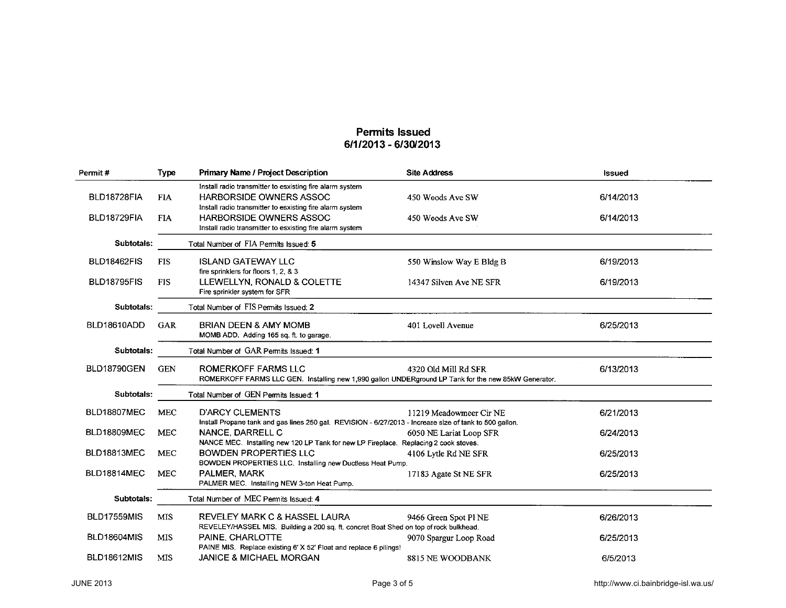| Permit#            | <b>Type</b> | <b>Primary Name / Project Description</b>                                                                                                              | <b>Site Address</b>      | <b>Issued</b> |
|--------------------|-------------|--------------------------------------------------------------------------------------------------------------------------------------------------------|--------------------------|---------------|
| BLD18728FIA        | <b>FIA</b>  | Install radio transmitter to esxisting fire alarm system<br><b>HARBORSIDE OWNERS ASSOC</b><br>Install radio transmitter to esxisting fire alarm system | 450 Woods Ave SW         | 6/14/2013     |
| BLD18729FIA        | <b>FIA</b>  | <b>HARBORSIDE OWNERS ASSOC</b><br>Install radio transmitter to esxisting fire alarm system                                                             | 450 Woods Ave SW         | 6/14/2013     |
| Subtotals:         |             | Total Number of FIA Permits Issued: 5                                                                                                                  |                          |               |
| BLD18462FIS        | <b>FIS</b>  | <b>ISLAND GATEWAY LLC</b><br>fire sprinklers for floors 1, 2, & 3                                                                                      | 550 Winslow Way E Bldg B | 6/19/2013     |
| BLD18795FIS        | <b>FIS</b>  | LLEWELLYN, RONALD & COLETTE<br>Fire sprinkler system for SFR                                                                                           | 14347 Silven Ave NE SFR  | 6/19/2013     |
| Subtotals:         |             | Total Number of FIS Permits Issued: 2                                                                                                                  |                          |               |
| BLD18610ADD        | GAR         | <b>BRIAN DEEN &amp; AMY MOMB</b><br>MOMB ADD. Adding 165 sq. ft. to garage.                                                                            | 401 Lovell Avenue        | 6/25/2013     |
| Subtotals:         |             | Total Number of GAR Permits Issued: 1                                                                                                                  |                          |               |
| <b>BLD18790GEN</b> | <b>GEN</b>  | <b>ROMERKOFF FARMS LLC</b><br>ROMERKOFF FARMS LLC GEN. Installing new 1,990 gallon UNDERground LP Tank for the new 85kW Generator.                     | 4320 Old Mill Rd SFR     | 6/13/2013     |
| Subtotals:         |             | Total Number of GEN Permits Issued: 1                                                                                                                  |                          |               |
| <b>BLD18807MEC</b> | <b>MEC</b>  | <b>D'ARCY CLEMENTS</b><br>Install Propane tank and gas lines 250 gal. REVISION - 6/27/2013 - Increase size of tank to 500 gallon.                      | 11219 Meadowmeer Cir NE  | 6/21/2013     |
| BLD18809MEC        | <b>MEC</b>  | NANCE, DARRELL C<br>NANCE MEC. Installing new 120 LP Tank for new LP Fireplace. Replacing 2 cook stoves.                                               | 6050 NE Lariat Loop SFR  | 6/24/2013     |
| BLD18813MEC        | <b>MEC</b>  | <b>BOWDEN PROPERTIES LLC</b><br>BOWDEN PROPERTIES LLC. Installing new Ductless Heat Pump.                                                              | 4106 Lytle Rd NE SFR     | 6/25/2013     |
| BLD18814MEC        | <b>MEC</b>  | PALMER, MARK<br>PALMER MEC. Installing NEW 3-ton Heat Pump.                                                                                            | 17183 Agate St NE SFR    | 6/25/2013     |
| Subtotals:         |             | Total Number of MEC Permits Issued: 4                                                                                                                  |                          |               |
| <b>BLD17559MIS</b> | <b>MIS</b>  | REVELEY MARK C & HASSEL LAURA<br>REVELEY/HASSEL MIS. Building a 200 sq. ft. concret Boat Shed on top of rock bulkhead.                                 | 9466 Green Spot Pl NE    | 6/26/2013     |
| <b>BLD18604MIS</b> | <b>MIS</b>  | PAINE, CHARLOTTE<br>PAINE MIS. Replace existing 6' X 52' Float and replace 6 pilings!                                                                  | 9070 Spargur Loop Road   | 6/25/2013     |
| <b>BLD18612MIS</b> | <b>MIS</b>  | <b>JANICE &amp; MICHAEL MORGAN</b>                                                                                                                     | 8815 NE WOODBANK         | 6/5/2013      |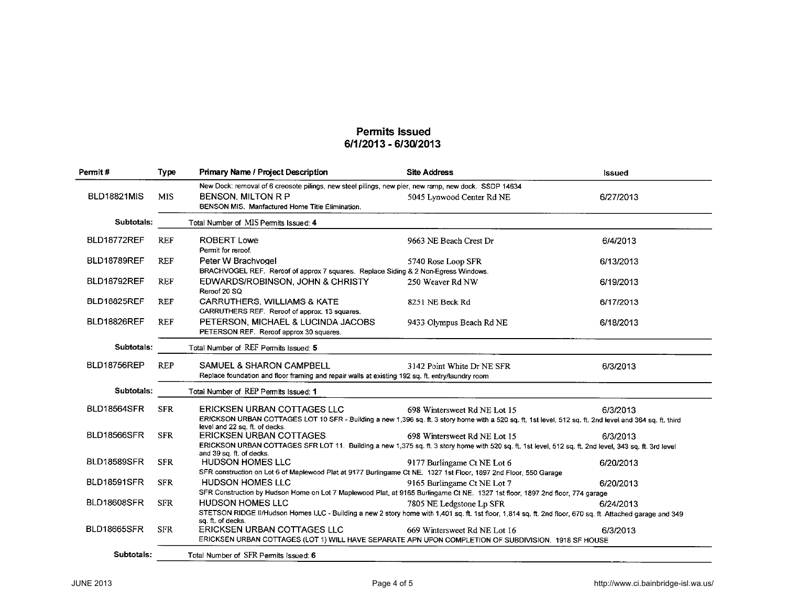| Permit#            | <b>Type</b> | Primary Name / Project Description                                                                                                                                                                                                                                                                                     | <b>Site Address</b>          | <b>Issued</b> |
|--------------------|-------------|------------------------------------------------------------------------------------------------------------------------------------------------------------------------------------------------------------------------------------------------------------------------------------------------------------------------|------------------------------|---------------|
| <b>BLD18821MIS</b> | <b>MIS</b>  | New Dock: removal of 6 creosote pilings, new steel pilings, new pier, new ramp, new dock. SSDP 14634<br><b>BENSON, MILTON R P</b><br>BENSON MIS. Manfactured Home Title Elimination.                                                                                                                                   | 5045 Lynwood Center Rd NE    | 6/27/2013     |
| Subtotals:         |             | Total Number of MIS Permits Issued: 4                                                                                                                                                                                                                                                                                  |                              |               |
| BLD18772REF        | <b>REF</b>  | <b>ROBERT Lowe</b><br>Permit for reroof.                                                                                                                                                                                                                                                                               | 9663 NE Beach Crest Dr       | 6/4/2013      |
| <b>BLD18789REF</b> | <b>REF</b>  | Peter W Brachvogel<br>BRACHVOGEL REF. Reroof of approx 7 squares. Replace Siding & 2 Non-Egress Windows.                                                                                                                                                                                                               | 5740 Rose Loop SFR           | 6/13/2013     |
| BLD18792REF        | <b>REF</b>  | EDWARDS/ROBINSON, JOHN & CHRISTY<br>Reroof 20 SQ                                                                                                                                                                                                                                                                       | 250 Weaver Rd NW             | 6/19/2013     |
| <b>BLD18825REF</b> | <b>REF</b>  | <b>CARRUTHERS, WILLIAMS &amp; KATE</b><br>CARRUTHERS REF. Reroof of approx. 13 squares.                                                                                                                                                                                                                                | 8251 NE Beck Rd              | 6/17/2013     |
| BLD18826REF        | <b>REF</b>  | PETERSON, MICHAEL & LUCINDA JACOBS<br>PETERSON REF. Reroof approx 30 squares.                                                                                                                                                                                                                                          | 9433 Olympus Beach Rd NE     | 6/18/2013     |
| Subtotals:         |             | Total Number of REF Permits Issued: 5                                                                                                                                                                                                                                                                                  |                              |               |
| BLD18756REP        | <b>REP</b>  | <b>SAMUEL &amp; SHARON CAMPBELL</b><br>Replace foundation and floor framing and repair walls at existing 192 sq. ft. entry/laundry room                                                                                                                                                                                | 3142 Point White Dr NE SFR   | 6/3/2013      |
| Subtotals:         |             | Total Number of REP Permits Issued: 1                                                                                                                                                                                                                                                                                  |                              |               |
| BLD18564SFR        | <b>SFR</b>  | ERICKSEN URBAN COTTAGES LLC<br>ERICKSON URBAN COTTAGES LOT 10 SFR - Building a new 1,396 sq. ft. 3 story home with a 520 sq. ft. 1st level, 512 sq. ft. 2nd level and 364 sq. ft. third                                                                                                                                | 698 Wintersweet Rd NE Lot 15 | 6/3/2013      |
| <b>BLD18566SFR</b> | <b>SFR</b>  | level and 22 sq. ft. of decks.<br><b>ERICKSEN URBAN COTTAGES</b>                                                                                                                                                                                                                                                       | 698 Wintersweet Rd NE Lot 15 | 6/3/2013      |
| <b>BLD18589SFR</b> | <b>SFR</b>  | ERICKSON URBAN COTTAGES SFR LOT 11. Building a new 1,375 sq. ft. 3 story home with 520 sq. ft. 1st level, 512 sq. ft. 2nd level, 343 sq. ft. 3rd level<br>and 39 sq. ft. of decks.<br><b>HUDSON HOMES LLC</b>                                                                                                          | 9177 Burlingame Ct NE Lot 6  | 6/20/2013     |
| <b>BLD18591SFR</b> | <b>SFR</b>  | SFR construction on Lot 6 of Maplewood Plat at 9177 Burlingame Ct NE. 1327 1st Floor, 1897 2nd Floor, 550 Garage<br><b>HUDSON HOMES LLC</b>                                                                                                                                                                            | 9165 Burlingame Ct NE Lot 7  | 6/20/2013     |
| <b>BLD18608SFR</b> | <b>SFR</b>  | SFR Construction by Hudson Home on Lot 7 Maplewood Plat, at 9165 Burlingame Ct NE. 1327 1st floor, 1897 2nd floor, 774 garage<br><b>HUDSON HOMES LLC</b><br>STETSON RIDGE II/Hudson Homes LLC - Building a new 2 story home with 1,401 sq. ft. 1st floor, 1,814 sq. ft. 2nd floor, 670 sq. ft. Attached garage and 349 | 7805 NE Ledgstone Lp SFR     | 6/24/2013     |
| <b>BLD18665SFR</b> | <b>SFR</b>  | sq. ft. of decks.<br>ERICKSEN URBAN COTTAGES LLC<br>ERICKSEN URBAN COTTAGES (LOT 1) WILL HAVE SEPARATE APN UPON COMPLETION OF SUBDIVISION. 1918 SF HOUSE                                                                                                                                                               | 669 Wintersweet Rd NE Lot 16 | 6/3/2013      |
| Subtotals:         |             | Total Number of SFR Permits Issued: 6                                                                                                                                                                                                                                                                                  |                              |               |